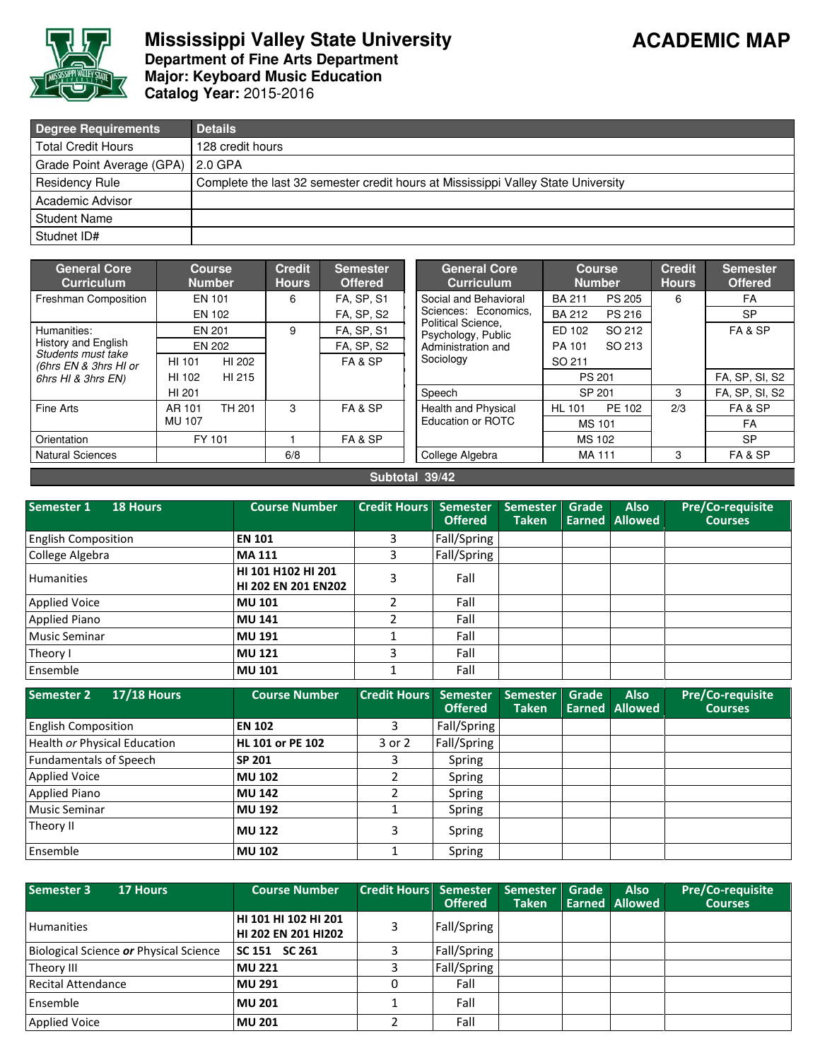

## **Mississippi Valley State University Department of Fine Arts Department Major: Keyboard Music Education** Catalog Year: 2015-2016

| Degree Requirements       | <b>Details</b>                                                                    |
|---------------------------|-----------------------------------------------------------------------------------|
| <b>Total Credit Hours</b> | 128 credit hours                                                                  |
| Grade Point Average (GPA) | l 2.0 GPA                                                                         |
| <b>Residency Rule</b>     | Complete the last 32 semester credit hours at Mississippi Valley State University |
| Academic Advisor          |                                                                                   |
| <b>Student Name</b>       |                                                                                   |
| Studnet ID#               |                                                                                   |

| <b>General Core</b><br><b>Curriculum</b>    |               | <b>Course</b><br><b>Number</b> | <b>Credit</b><br><b>Hours</b> | <b>Semester</b><br><b>Offered</b> | <b>General Core</b><br><b>Curriculum</b>   | <b>Course</b><br><b>Number</b> |               |     | <b>Semester</b><br><b>Offered</b> |
|---------------------------------------------|---------------|--------------------------------|-------------------------------|-----------------------------------|--------------------------------------------|--------------------------------|---------------|-----|-----------------------------------|
| Freshman Composition                        |               | EN 101                         | 6                             | <b>FA, SP, S1</b>                 | Social and Behavioral                      | <b>BA 211</b>                  | <b>PS 205</b> | 6   | FA                                |
|                                             |               | EN 102                         |                               | <b>FA, SP, S2</b>                 | Sciences: Economics.<br>Political Science. | <b>BA 212</b>                  | <b>PS 216</b> |     | <b>SP</b>                         |
| Humanities:                                 |               | EN 201                         | 9                             | <b>FA, SP, S1</b>                 | Psychology, Public                         | ED 102                         | SO 212        |     | FA & SP                           |
| <b>History and English</b>                  |               | EN 202                         |                               | <b>FA, SP, S2</b>                 | Administration and                         | PA 101                         | SO 213        |     |                                   |
| Students must take<br>(6hrs EN & 3hrs HI or | HI 101        | HI 202                         |                               | FA&SP                             | Sociology                                  | SO 211                         |               |     |                                   |
| 6hrs HI & 3hrs EN)                          | HI 102        | HI 215                         |                               |                                   |                                            | PS 201                         |               |     | FA, SP, SI, S2                    |
|                                             | HI 201        |                                |                               |                                   | Speech                                     | SP 201                         |               | 3   | FA, SP, SI, S2                    |
| Fine Arts                                   | AR 101        | TH 201                         | 3                             | FA&SP                             | Health and Physical                        | <b>HL 101</b>                  | PE 102        | 2/3 | FA&SP                             |
|                                             | <b>MU 107</b> |                                |                               |                                   | Education or ROTC                          | <b>MS101</b>                   |               |     | FA                                |
| Orientation                                 |               | FY 101                         |                               | FA & SP                           |                                            | <b>MS 102</b>                  |               |     | <b>SP</b>                         |
| <b>Natural Sciences</b>                     |               |                                | 6/8                           |                                   | College Algebra                            |                                | MA 111        | 3   | FA & SP                           |
|                                             |               |                                |                               |                                   |                                            |                                |               |     |                                   |

Subtotal 39/42

| Semester 1<br><b>18 Hours</b> | <b>Course Number</b>                       | <b>Credit Hours</b> | Semester<br><b>Offered</b> | <b>Semester</b><br><b>Taken</b> | Grade | <b>Also</b><br><b>Earned Allowed</b> | <b>Pre/Co-requisite</b><br><b>Courses</b> |
|-------------------------------|--------------------------------------------|---------------------|----------------------------|---------------------------------|-------|--------------------------------------|-------------------------------------------|
| <b>English Composition</b>    | <b>EN 101</b>                              |                     | Fall/Spring                |                                 |       |                                      |                                           |
| College Algebra               | <b>MA 111</b>                              |                     | Fall/Spring                |                                 |       |                                      |                                           |
| <b>Humanities</b>             | HI 101 H102 HI 201<br>HI 202 EN 201 EN 202 | 3                   | Fall                       |                                 |       |                                      |                                           |
| <b>Applied Voice</b>          | <b>MU 101</b>                              |                     | Fall                       |                                 |       |                                      |                                           |
| <b>Applied Piano</b>          | <b>MU 141</b>                              |                     | Fall                       |                                 |       |                                      |                                           |
| <b>Music Seminar</b>          | <b>MU 191</b>                              |                     | Fall                       |                                 |       |                                      |                                           |
| Theory I                      | <b>MU 121</b>                              | ς                   | Fall                       |                                 |       |                                      |                                           |
| Ensemble                      | <b>MU 101</b>                              |                     | Fall                       |                                 |       |                                      |                                           |

| Semester 2<br><b>17/18 Hours</b> | <b>Course Number</b>    | <b>Credit Hours</b> | Semester<br><b>Offered</b> | <b>Semester</b><br><b>Taken</b> | Grade | <b>Also</b><br><b>Earned Allowed</b> | <b>Pre/Co-requisite</b><br><b>Courses</b> |
|----------------------------------|-------------------------|---------------------|----------------------------|---------------------------------|-------|--------------------------------------|-------------------------------------------|
| <b>English Composition</b>       | <b>EN 102</b>           |                     | Fall/Spring                |                                 |       |                                      |                                           |
| Health or Physical Education     | <b>HL 101 or PE 102</b> | 3 or 2              | Fall/Spring                |                                 |       |                                      |                                           |
| <b>Fundamentals of Speech</b>    | <b>SP 201</b>           |                     | Spring                     |                                 |       |                                      |                                           |
| <b>Applied Voice</b>             | <b>MU 102</b>           |                     | Spring                     |                                 |       |                                      |                                           |
| <b>Applied Piano</b>             | <b>MU 142</b>           |                     | Spring                     |                                 |       |                                      |                                           |
| <b>Music Seminar</b>             | <b>MU 192</b>           |                     | Spring                     |                                 |       |                                      |                                           |
| Theory II                        | <b>MU 122</b>           |                     | Spring                     |                                 |       |                                      |                                           |
| Ensemble                         | <b>MU 102</b>           |                     | Spring                     |                                 |       |                                      |                                           |

| Semester 3<br><b>17 Hours</b>          | <b>Course Number</b>                               | <b>Credit Hours Semester</b> | <b>Offered</b> | Semester<br><b>Taken</b> | Grade | <b>Also</b><br><b>Earned Allowed</b> | <b>Pre/Co-requisite</b><br><b>Courses</b> |
|----------------------------------------|----------------------------------------------------|------------------------------|----------------|--------------------------|-------|--------------------------------------|-------------------------------------------|
| <b>Humanities</b>                      | HI 101 HI 102 HI 201<br><b>HI 202 EN 201 HI202</b> |                              | Fall/Spring    |                          |       |                                      |                                           |
| Biological Science or Physical Science | SC 151 SC 261                                      |                              | Fall/Spring    |                          |       |                                      |                                           |
| Theory III                             | <b>MU 221</b>                                      |                              | Fall/Spring    |                          |       |                                      |                                           |
| Recital Attendance                     | <b>MU 291</b>                                      |                              | Fall           |                          |       |                                      |                                           |
| Ensemble                               | <b>MU 201</b>                                      |                              | Fall           |                          |       |                                      |                                           |
| <b>Applied Voice</b>                   | <b>MU 201</b>                                      |                              | Fall           |                          |       |                                      |                                           |